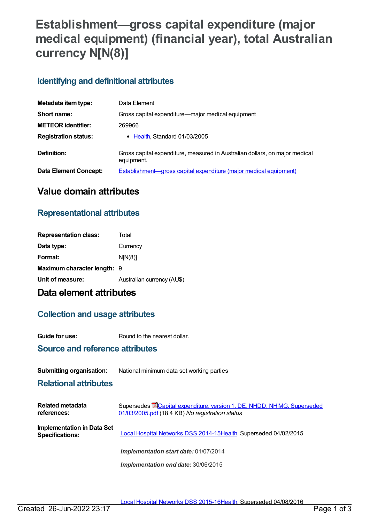# **Establishment—gross capital expenditure (major medical equipment) (financial year), total Australian currency N[N(8)]**

### **Identifying and definitional attributes**

| Metadata item type:         | Data Element                                                                              |  |
|-----------------------------|-------------------------------------------------------------------------------------------|--|
| Short name:                 | Gross capital expenditure—major medical equipment                                         |  |
| <b>METEOR identifier:</b>   | 269966                                                                                    |  |
| <b>Registration status:</b> | • Health, Standard 01/03/2005                                                             |  |
| Definition:                 | Gross capital expenditure, measured in Australian dollars, on major medical<br>equipment. |  |
| Data Element Concept:       | <b>Establishment—gross capital expenditure (major medical equipment)</b>                  |  |

# **Value domain attributes**

## **Representational attributes**

| <b>Representation class:</b> | Total                      |
|------------------------------|----------------------------|
| Data type:                   | Currency                   |
| Format:                      | N[N(8)]                    |
| Maximum character length: 9  |                            |
| Unit of measure:             | Australian currency (AU\$) |

# **Data element attributes**

### **Collection and usage attributes**

**Guide for use:** Round to the nearest dollar.

### **Source and reference attributes**

#### **Submitting organisation:** National minimum data set working parties

#### **Relational attributes**

| <b>Related metadata</b><br>references:               | Supersedes <b>ECapital expenditure, version 1, DE, NHDD, NHIMG, Superseded</b><br>01/03/2005.pdf (18.4 KB) No registration status |
|------------------------------------------------------|-----------------------------------------------------------------------------------------------------------------------------------|
| Implementation in Data Set<br><b>Specifications:</b> | Local Hospital Networks DSS 2014-15Health, Superseded 04/02/2015                                                                  |
|                                                      | Implementation start date: 01/07/2014                                                                                             |
|                                                      | Implementation end date: 30/06/2015                                                                                               |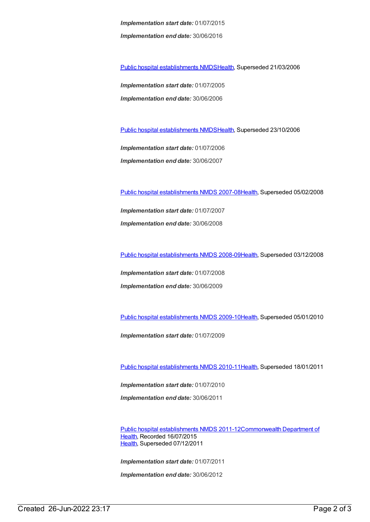*Implementation start date:* 01/07/2015 *Implementation end date:* 30/06/2016

Public hospital [establishments](https://meteor.aihw.gov.au/content/273047) NMDS[Health](https://meteor.aihw.gov.au/RegistrationAuthority/12), Superseded 21/03/2006

*Implementation start date:* 01/07/2005 *Implementation end date:* 30/06/2006

Public hospital [establishments](https://meteor.aihw.gov.au/content/334285) NMDS[Health](https://meteor.aihw.gov.au/RegistrationAuthority/12), Superseded 23/10/2006

*Implementation start date:* 01/07/2006 *Implementation end date:* 30/06/2007

Public hospital [establishments](https://meteor.aihw.gov.au/content/345139) NMDS 2007-08[Health](https://meteor.aihw.gov.au/RegistrationAuthority/12), Superseded 05/02/2008

*Implementation start date:* 01/07/2007 *Implementation end date:* 30/06/2008

Public hospital [establishments](https://meteor.aihw.gov.au/content/362302) NMDS 2008-09[Health](https://meteor.aihw.gov.au/RegistrationAuthority/12), Superseded 03/12/2008

*Implementation start date:* 01/07/2008 *Implementation end date:* 30/06/2009

Public hospital [establishments](https://meteor.aihw.gov.au/content/374924) NMDS 2009-10[Health](https://meteor.aihw.gov.au/RegistrationAuthority/12), Superseded 05/01/2010

*Implementation start date:* 01/07/2009

Public hospital [establishments](https://meteor.aihw.gov.au/content/386794) NMDS 2010-11[Health](https://meteor.aihw.gov.au/RegistrationAuthority/12), Superseded 18/01/2011

*Implementation start date:* 01/07/2010 *Implementation end date:* 30/06/2011

Public hospital [establishments](https://meteor.aihw.gov.au/content/426900) NMDS [2011-12Commonwealth](https://meteor.aihw.gov.au/RegistrationAuthority/10) Department of Health, Recorded 16/07/2015 [Health](https://meteor.aihw.gov.au/RegistrationAuthority/12), Superseded 07/12/2011

*Implementation start date:* 01/07/2011

*Implementation end date:* 30/06/2012